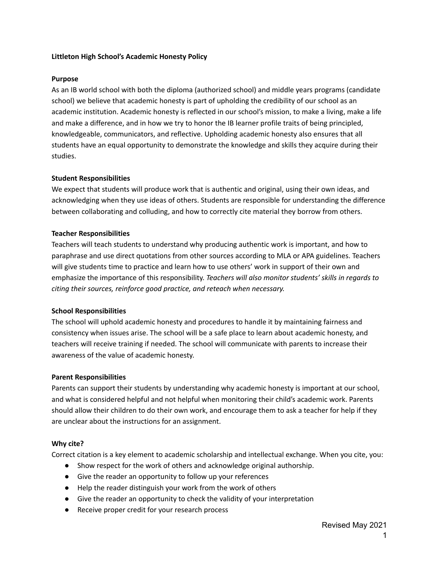#### **Littleton High School's Academic Honesty Policy**

#### **Purpose**

As an IB world school with both the diploma (authorized school) and middle years programs (candidate school) we believe that academic honesty is part of upholding the credibility of our school as an academic institution. Academic honesty is reflected in our school's mission, to make a living, make a life and make a difference, and in how we try to honor the IB learner profile traits of being principled, knowledgeable, communicators, and reflective. Upholding academic honesty also ensures that all students have an equal opportunity to demonstrate the knowledge and skills they acquire during their studies.

### **Student Responsibilities**

We expect that students will produce work that is authentic and original, using their own ideas, and acknowledging when they use ideas of others. Students are responsible for understanding the difference between collaborating and colluding, and how to correctly cite material they borrow from others.

### **Teacher Responsibilities**

Teachers will teach students to understand why producing authentic work is important, and how to paraphrase and use direct quotations from other sources according to MLA or APA guidelines. Teachers will give students time to practice and learn how to use others' work in support of their own and emphasize the importance of this responsibility. *Teachers will also monitor students' skills in regards to citing their sources, reinforce good practice, and reteach when necessary.*

## **School Responsibilities**

The school will uphold academic honesty and procedures to handle it by maintaining fairness and consistency when issues arise. The school will be a safe place to learn about academic honesty, and teachers will receive training if needed. The school will communicate with parents to increase their awareness of the value of academic honesty.

#### **Parent Responsibilities**

Parents can support their students by understanding why academic honesty is important at our school, and what is considered helpful and not helpful when monitoring their child's academic work. Parents should allow their children to do their own work, and encourage them to ask a teacher for help if they are unclear about the instructions for an assignment.

#### **Why cite?**

Correct citation is a key element to academic scholarship and intellectual exchange. When you cite, you:

- Show respect for the work of others and acknowledge original authorship.
- Give the reader an opportunity to follow up your references
- Help the reader distinguish your work from the work of others
- Give the reader an opportunity to check the validity of your interpretation
- Receive proper credit for your research process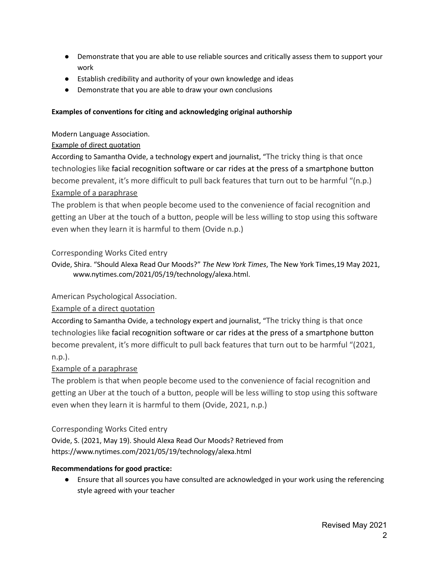- Demonstrate that you are able to use reliable sources and critically assess them to support your work
- Establish credibility and authority of your own knowledge and ideas
- Demonstrate that you are able to draw your own conclusions

## **Examples of conventions for citing and acknowledging original authorship**

Modern Language Association.

# Example of direct quotation

According to Samantha Ovide, a technology expert and journalist, "The tricky thing is that once technologies like [facial recognition software](https://www.nytimes.com/2021/05/18/business/amazon-police-facial-recognition.html) or car [rides at the press of a smartphone button](https://www.nytimes.com/2021/03/29/technology/what-we-got-wrong-about-uber-and-lyft.html) become prevalent, it's more difficult to pull back features that turn out to be harmful "(n.p.) Example of a paraphrase

The problem is that when people become used to the convenience of facial recognition and getting an Uber at the touch of a button, people will be less willing to stop using this software even when they learn it is harmful to them (Ovide n.p.)

# Corresponding Works Cited entry

Ovide, Shira. "Should Alexa Read Our Moods?" *The New York Times*, The New York Times,19 May 2021, www.nytimes.com/2021/05/19/technology/alexa.html.

## American Psychological Association.

## Example of a direct quotation

According to Samantha Ovide, a technology expert and journalist, "The tricky thing is that once technologies like [facial recognition software](https://www.nytimes.com/2021/05/18/business/amazon-police-facial-recognition.html) or car [rides at the press of a smartphone button](https://www.nytimes.com/2021/03/29/technology/what-we-got-wrong-about-uber-and-lyft.html) become prevalent, it's more difficult to pull back features that turn out to be harmful "(2021, n.p.).

# Example of a paraphrase

The problem is that when people become used to the convenience of facial recognition and getting an Uber at the touch of a button, people will be less willing to stop using this software even when they learn it is harmful to them (Ovide, 2021, n.p.)

## Corresponding Works Cited entry

Ovide, S. (2021, May 19). Should Alexa Read Our Moods? Retrieved from https://www.nytimes.com/2021/05/19/technology/alexa.html

## **Recommendations for good practice:**

● Ensure that all sources you have consulted are acknowledged in your work using the referencing style agreed with your teacher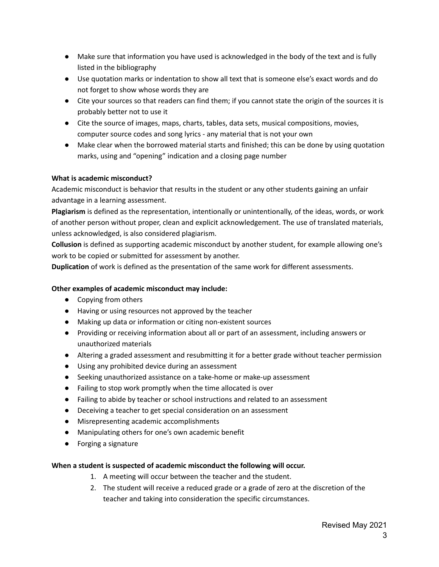- Make sure that information you have used is acknowledged in the body of the text and is fully listed in the bibliography
- Use quotation marks or indentation to show all text that is someone else's exact words and do not forget to show whose words they are
- Cite your sources so that readers can find them; if you cannot state the origin of the sources it is probably better not to use it
- Cite the source of images, maps, charts, tables, data sets, musical compositions, movies, computer source codes and song lyrics - any material that is not your own
- Make clear when the borrowed material starts and finished; this can be done by using quotation marks, using and "opening" indication and a closing page number

## **What is academic misconduct?**

Academic misconduct is behavior that results in the student or any other students gaining an unfair advantage in a learning assessment.

**Plagiarism** is defined as the representation, intentionally or unintentionally, of the ideas, words, or work of another person without proper, clean and explicit acknowledgement. The use of translated materials, unless acknowledged, is also considered plagiarism.

**Collusion** is defined as supporting academic misconduct by another student, for example allowing one's work to be copied or submitted for assessment by another.

**Duplication** of work is defined as the presentation of the same work for different assessments.

## **Other examples of academic misconduct may include:**

- Copying from others
- Having or using resources not approved by the teacher
- Making up data or information or citing non-existent sources
- Providing or receiving information about all or part of an assessment, including answers or unauthorized materials
- Altering a graded assessment and resubmitting it for a better grade without teacher permission
- Using any prohibited device during an assessment
- Seeking unauthorized assistance on a take-home or make-up assessment
- Failing to stop work promptly when the time allocated is over
- Failing to abide by teacher or school instructions and related to an assessment
- Deceiving a teacher to get special consideration on an assessment
- Misrepresenting academic accomplishments
- Manipulating others for one's own academic benefit
- Forging a signature

## **When a student is suspected of academic misconduct the following will occur.**

- 1. A meeting will occur between the teacher and the student.
- 2. The student will receive a reduced grade or a grade of zero at the discretion of the teacher and taking into consideration the specific circumstances.